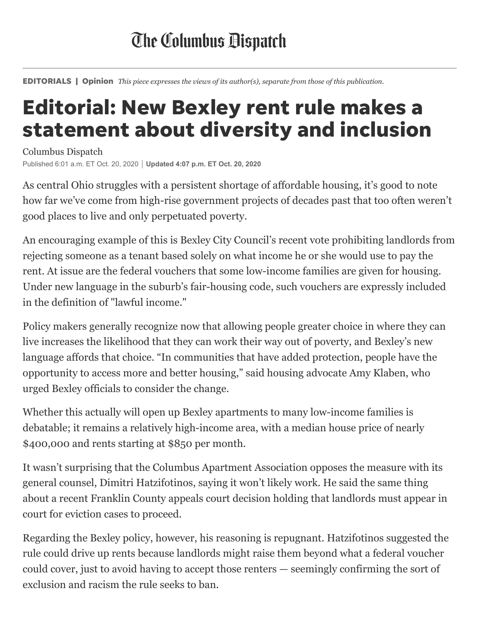## **The Columbus Dispatch**

EDITORIALS | Opinion *This piece expresses the views of its author(s), separate from those of this publication.*

## Editorial: New Bexley rent rule makes a statement about diversity and inclusion

Columbus Dispatch Published 6:01 a.m. ET Oct. 20, 2020 **Updated 4:07 p.m. ET Oct. 20, 2020**

As central Ohio struggles with a persistent shortage of affordable housing, it's good to note how far we've come from high-rise government projects of decades past that too often weren't good places to live and only perpetuated poverty.

An encouraging example of this is Bexley City Council's recent vote prohibiting landlords from rejecting someone as a tenant based solely on what income he or she would use to pay the rent. At issue are the federal vouchers that some low-income families are given for housing. Under new language in the suburb's fair-housing code, such vouchers are expressly included in the definition of "lawful income."

Policy makers generally recognize now that allowing people greater choice in where they can live increases the likelihood that they can work their way out of poverty, and Bexley's new language affords that choice. "In communities that have added protection, people have the opportunity to access more and better housing," said housing advocate Amy Klaben, who urged Bexley officials to consider the change.

Whether this actually will open up Bexley apartments to many low-income families is debatable; it remains a relatively high-income area, with a median house price of nearly \$400,000 and rents starting at \$850 per month.

It wasn't surprising that the Columbus Apartment Association opposes the measure with its general counsel, Dimitri Hatzifotinos, saying it won't likely work. He said the same thing about a recent Franklin County appeals court decision holding that landlords must appear in court for eviction cases to proceed.

Regarding the Bexley policy, however, his reasoning is repugnant. Hatzifotinos suggested the rule could drive up rents because landlords might raise them beyond what a federal voucher could cover, just to avoid having to accept those renters — seemingly confirming the sort of exclusion and racism the rule seeks to ban.